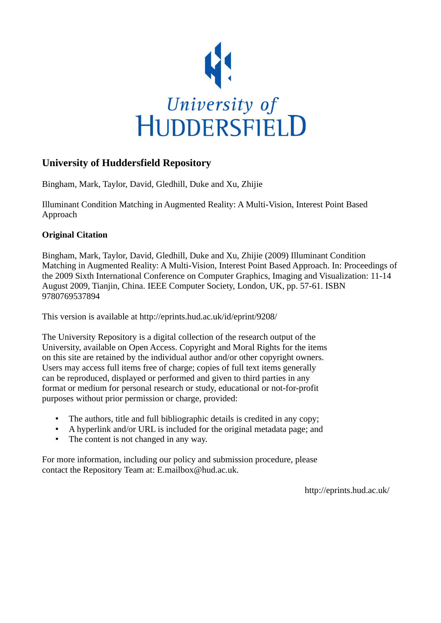

# **University of Huddersfield Repository**

Bingham, Mark, Taylor, David, Gledhill, Duke and Xu, Zhijie

Illuminant Condition Matching in Augmented Reality: A Multi-Vision, Interest Point Based Approach

# **Original Citation**

Bingham, Mark, Taylor, David, Gledhill, Duke and Xu, Zhijie (2009) Illuminant Condition Matching in Augmented Reality: A Multi-Vision, Interest Point Based Approach. In: Proceedings of the 2009 Sixth International Conference on Computer Graphics, Imaging and Visualization: 11-14 August 2009, Tianjin, China. IEEE Computer Society, London, UK, pp. 57-61. ISBN 9780769537894

This version is available at http://eprints.hud.ac.uk/id/eprint/9208/

The University Repository is a digital collection of the research output of the University, available on Open Access. Copyright and Moral Rights for the items on this site are retained by the individual author and/or other copyright owners. Users may access full items free of charge; copies of full text items generally can be reproduced, displayed or performed and given to third parties in any format or medium for personal research or study, educational or not-for-profit purposes without prior permission or charge, provided:

- The authors, title and full bibliographic details is credited in any copy;
- A hyperlink and/or URL is included for the original metadata page; and
- The content is not changed in any way.

For more information, including our policy and submission procedure, please contact the Repository Team at: E.mailbox@hud.ac.uk.

http://eprints.hud.ac.uk/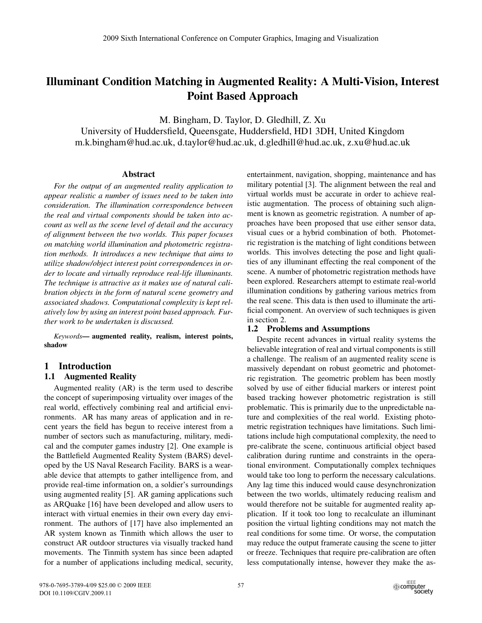# Illuminant Condition Matching in Augmented Reality: A Multi-Vision, Interest Point Based Approach

M. Bingham, D. Taylor, D. Gledhill, Z. Xu

University of Huddersfield, Queensgate, Huddersfield, HD1 3DH, United Kingdom m.k.bingham@hud.ac.uk, d.taylor@hud.ac.uk, d.gledhill@hud.ac.uk, z.xu@hud.ac.uk

#### Abstract

*For the output of an augmented reality application to appear realistic a number of issues need to be taken into consideration. The illumination correspondence between the real and virtual components should be taken into account as well as the scene level of detail and the accuracy of alignment between the two worlds. This paper focuses on matching world illumination and photometric registration methods. It introduces a new technique that aims to utilize shadow/object interest point correspondences in order to locate and virtually reproduce real-life illuminants. The technique is attractive as it makes use of natural calibration objects in the form of natural scene geometry and associated shadows. Computational complexity is kept relatively low by using an interest point based approach. Further work to be undertaken is discussed.*

*Keywords*— augmented reality, realism, interest points, shadow

## 1 Introduction

### 1.1 Augmented Reality

Augmented reality (AR) is the term used to describe the concept of superimposing virtuality over images of the real world, effectively combining real and artificial environments. AR has many areas of application and in recent years the field has begun to receive interest from a number of sectors such as manufacturing, military, medical and the computer games industry [2]. One example is the Battlefield Augmented Reality System (BARS) developed by the US Naval Research Facility. BARS is a wearable device that attempts to gather intelligence from, and provide real-time information on, a soldier's surroundings using augmented reality [5]. AR gaming applications such as ARQuake [16] have been developed and allow users to interact with virtual enemies in their own every day environment. The authors of [17] have also implemented an AR system known as Tinmith which allows the user to construct AR outdoor structures via visually tracked hand movements. The Tinmith system has since been adapted for a number of applications including medical, security,

entertainment, navigation, shopping, maintenance and has military potential [3]. The alignment between the real and virtual worlds must be accurate in order to achieve realistic augmentation. The process of obtaining such alignment is known as geometric registration. A number of approaches have been proposed that use either sensor data, visual cues or a hybrid combination of both. Photometric registration is the matching of light conditions between worlds. This involves detecting the pose and light qualities of any illuminant effecting the real component of the scene. A number of photometric registration methods have been explored. Researchers attempt to estimate real-world illumination conditions by gathering various metrics from the real scene. This data is then used to illuminate the artificial component. An overview of such techniques is given in section 2.

## 1.2 Problems and Assumptions

Despite recent advances in virtual reality systems the believable integration of real and virtual components is still a challenge. The realism of an augmented reality scene is massively dependant on robust geometric and photometric registration. The geometric problem has been mostly solved by use of either fiducial markers or interest point based tracking however photometric registration is still problematic. This is primarily due to the unpredictable nature and complexities of the real world. Existing photometric registration techniques have limitations. Such limitations include high computational complexity, the need to pre-calibrate the scene, continuous artificial object based calibration during runtime and constraints in the operational environment. Computationally complex techniques would take too long to perform the necessary calculations. Any lag time this induced would cause desynchronization between the two worlds, ultimately reducing realism and would therefore not be suitable for augmented reality application. If it took too long to recalculate an illuminant position the virtual lighting conditions may not match the real conditions for some time. Or worse, the computation may reduce the output framerate causing the scene to jitter or freeze. Techniques that require pre-calibration are often less computationally intense, however they make the as-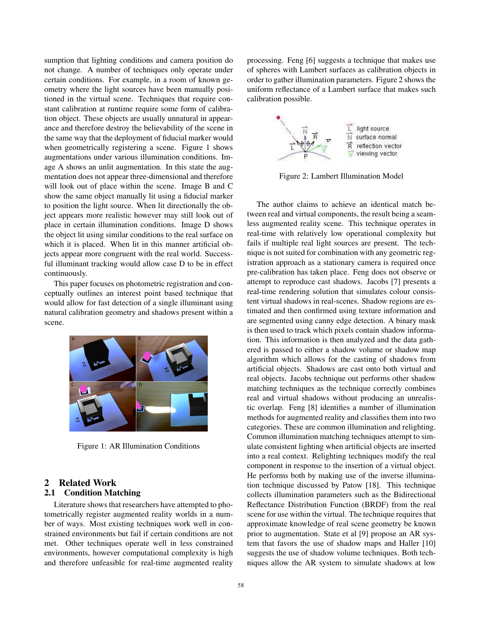sumption that lighting conditions and camera position do not change. A number of techniques only operate under certain conditions. For example, in a room of known geometry where the light sources have been manually positioned in the virtual scene. Techniques that require constant calibration at runtime require some form of calibration object. These objects are usually unnatural in appearance and therefore destroy the believability of the scene in the same way that the deployment of fiducial marker would when geometrically registering a scene. Figure 1 shows augmentations under various illumination conditions. Image A shows an unlit augmentation. In this state the augmentation does not appear three-dimensional and therefore will look out of place within the scene. Image B and C show the same object manually lit using a fiducial marker to position the light source. When lit directionally the object appears more realistic however may still look out of place in certain illumination conditions. Image D shows the object lit using similar conditions to the real surface on which it is placed. When lit in this manner artificial objects appear more congruent with the real world. Successful illuminant tracking would allow case D to be in effect continuously.

This paper focuses on photometric registration and conceptually outlines an interest point based technique that would allow for fast detection of a single illuminant using natural calibration geometry and shadows present within a scene.



Figure 1: AR Illumination Conditions

# 2 Related Work

# 2.1 Condition Matching

Literature shows that researchers have attempted to photometrically register augmented reality worlds in a number of ways. Most existing techniques work well in constrained environments but fail if certain conditions are not met. Other techniques operate well in less constrained environments, however computational complexity is high and therefore unfeasible for real-time augmented reality

processing. Feng [6] suggests a technique that makes use of spheres with Lambert surfaces as calibration objects in order to gather illumination parameters. Figure 2 shows the uniform reflectance of a Lambert surface that makes such calibration possible.



Figure 2: Lambert Illumination Model

The author claims to achieve an identical match between real and virtual components, the result being a seamless augmented reality scene. This technique operates in real-time with relatively low operational complexity but fails if multiple real light sources are present. The technique is not suited for combination with any geometric registration approach as a stationary camera is required once pre-calibration has taken place. Feng does not observe or attempt to reproduce cast shadows. Jacobs [7] presents a real-time rendering solution that simulates colour consistent virtual shadows in real-scenes. Shadow regions are estimated and then confirmed using texture information and are segmented using canny edge detection. A binary mask is then used to track which pixels contain shadow information. This information is then analyzed and the data gathered is passed to either a shadow volume or shadow map algorithm which allows for the casting of shadows from artificial objects. Shadows are cast onto both virtual and real objects. Jacobs technique out performs other shadow matching techniques as the technique correctly combines real and virtual shadows without producing an unrealistic overlap. Feng [8] identifies a number of illumination methods for augmented reality and classifies them into two categories. These are common illumination and relighting. Common illumination matching techniques attempt to simulate consistent lighting when artificial objects are inserted into a real context. Relighting techniques modify the real component in response to the insertion of a virtual object. He performs both by making use of the inverse illumination technique discussed by Patow [18]. This technique collects illumination parameters such as the Bidirectional Reflectance Distribution Function (BRDF) from the real scene for use within the virtual. The technique requires that approximate knowledge of real scene geometry be known prior to augmentation. State et al [9] propose an AR system that favors the use of shadow maps and Haller [10] suggests the use of shadow volume techniques. Both techniques allow the AR system to simulate shadows at low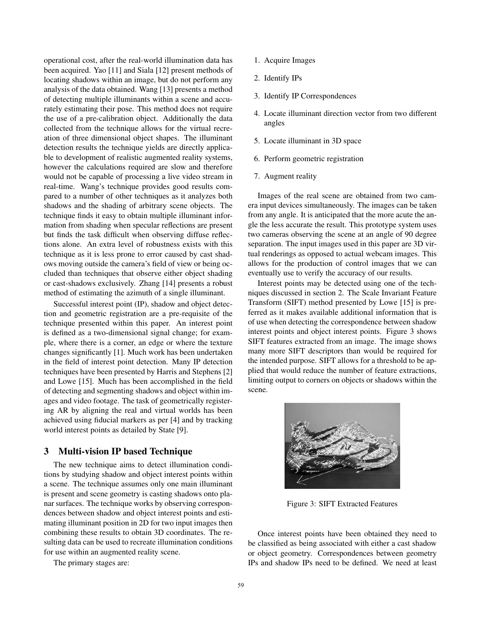operational cost, after the real-world illumination data has been acquired. Yao [11] and Siala [12] present methods of locating shadows within an image, but do not perform any analysis of the data obtained. Wang [13] presents a method of detecting multiple illuminants within a scene and accurately estimating their pose. This method does not require the use of a pre-calibration object. Additionally the data collected from the technique allows for the virtual recreation of three dimensional object shapes. The illuminant detection results the technique yields are directly applicable to development of realistic augmented reality systems, however the calculations required are slow and therefore would not be capable of processing a live video stream in real-time. Wang's technique provides good results compared to a number of other techniques as it analyzes both shadows and the shading of arbitrary scene objects. The technique finds it easy to obtain multiple illuminant information from shading when specular reflections are present but finds the task difficult when observing diffuse reflections alone. An extra level of robustness exists with this technique as it is less prone to error caused by cast shadows moving outside the camera's field of view or being occluded than techniques that observe either object shading or cast-shadows exclusively. Zhang [14] presents a robust method of estimating the azimuth of a single illuminant.

Successful interest point (IP), shadow and object detection and geometric registration are a pre-requisite of the technique presented within this paper. An interest point is defined as a two-dimensional signal change; for example, where there is a corner, an edge or where the texture changes significantly [1]. Much work has been undertaken in the field of interest point detection. Many IP detection techniques have been presented by Harris and Stephens [2] and Lowe [15]. Much has been accomplished in the field of detecting and segmenting shadows and object within images and video footage. The task of geometrically registering AR by aligning the real and virtual worlds has been achieved using fiducial markers as per [4] and by tracking world interest points as detailed by State [9].

### 3 Multi-vision IP based Technique

The new technique aims to detect illumination conditions by studying shadow and object interest points within a scene. The technique assumes only one main illuminant is present and scene geometry is casting shadows onto planar surfaces. The technique works by observing correspondences between shadow and object interest points and estimating illuminant position in 2D for two input images then combining these results to obtain 3D coordinates. The resulting data can be used to recreate illumination conditions for use within an augmented reality scene.

The primary stages are:

- 1. Acquire Images
- 2. Identify IPs
- 3. Identify IP Correspondences
- 4. Locate illuminant direction vector from two different angles
- 5. Locate illuminant in 3D space
- 6. Perform geometric registration
- 7. Augment reality

Images of the real scene are obtained from two camera input devices simultaneously. The images can be taken from any angle. It is anticipated that the more acute the angle the less accurate the result. This prototype system uses two cameras observing the scene at an angle of 90 degree separation. The input images used in this paper are 3D virtual renderings as opposed to actual webcam images. This allows for the production of control images that we can eventually use to verify the accuracy of our results.

Interest points may be detected using one of the techniques discussed in section 2. The Scale Invariant Feature Transform (SIFT) method presented by Lowe [15] is preferred as it makes available additional information that is of use when detecting the correspondence between shadow interest points and object interest points. Figure 3 shows SIFT features extracted from an image. The image shows many more SIFT descriptors than would be required for the intended purpose. SIFT allows for a threshold to be applied that would reduce the number of feature extractions, limiting output to corners on objects or shadows within the scene.



Figure 3: SIFT Extracted Features

Once interest points have been obtained they need to be classified as being associated with either a cast shadow or object geometry. Correspondences between geometry IPs and shadow IPs need to be defined. We need at least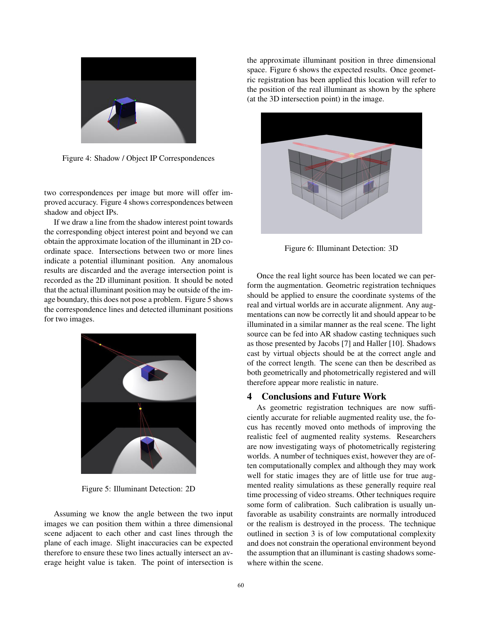

Figure 4: Shadow / Object IP Correspondences

two correspondences per image but more will offer improved accuracy. Figure 4 shows correspondences between shadow and object IPs.

If we draw a line from the shadow interest point towards the corresponding object interest point and beyond we can obtain the approximate location of the illuminant in 2D coordinate space. Intersections between two or more lines indicate a potential illuminant position. Any anomalous results are discarded and the average intersection point is recorded as the 2D illuminant position. It should be noted that the actual illuminant position may be outside of the image boundary, this does not pose a problem. Figure 5 shows the correspondence lines and detected illuminant positions for two images.



Figure 5: Illuminant Detection: 2D

Assuming we know the angle between the two input images we can position them within a three dimensional scene adjacent to each other and cast lines through the plane of each image. Slight inaccuracies can be expected therefore to ensure these two lines actually intersect an average height value is taken. The point of intersection is

the approximate illuminant position in three dimensional space. Figure 6 shows the expected results. Once geometric registration has been applied this location will refer to the position of the real illuminant as shown by the sphere (at the 3D intersection point) in the image.



Figure 6: Illuminant Detection: 3D

Once the real light source has been located we can perform the augmentation. Geometric registration techniques should be applied to ensure the coordinate systems of the real and virtual worlds are in accurate alignment. Any augmentations can now be correctly lit and should appear to be illuminated in a similar manner as the real scene. The light source can be fed into AR shadow casting techniques such as those presented by Jacobs [7] and Haller [10]. Shadows cast by virtual objects should be at the correct angle and of the correct length. The scene can then be described as both geometrically and photometrically registered and will therefore appear more realistic in nature.

### 4 Conclusions and Future Work

As geometric registration techniques are now sufficiently accurate for reliable augmented reality use, the focus has recently moved onto methods of improving the realistic feel of augmented reality systems. Researchers are now investigating ways of photometrically registering worlds. A number of techniques exist, however they are often computationally complex and although they may work well for static images they are of little use for true augmented reality simulations as these generally require real time processing of video streams. Other techniques require some form of calibration. Such calibration is usually unfavorable as usability constraints are normally introduced or the realism is destroyed in the process. The technique outlined in section 3 is of low computational complexity and does not constrain the operational environment beyond the assumption that an illuminant is casting shadows somewhere within the scene.